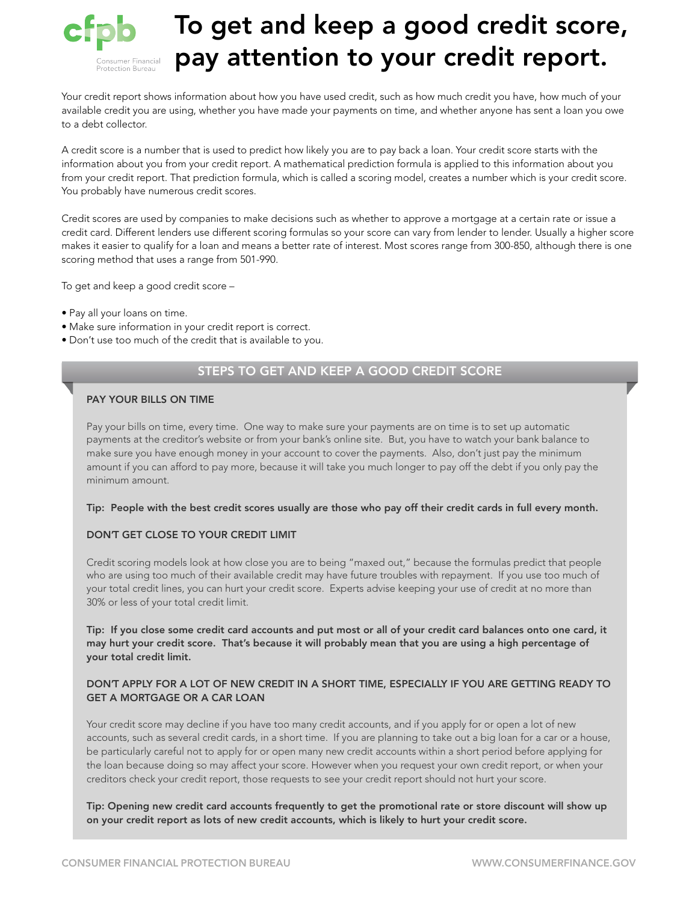

# To get and keep a good credit score, Forgonal regards and pay attention to your credit report.

Your credit report shows information about how you have used credit, such as how much credit you have, how much of your available credit you are using, whether you have made your payments on time, and whether anyone has sent a loan you owe to a debt collector.

A credit score is a number that is used to predict how likely you are to pay back a loan. Your credit score starts with the information about you from your credit report. A mathematical prediction formula is applied to this information about you from your credit report. That prediction formula, which is called a scoring model, creates a number which is your credit score. You probably have numerous credit scores.

Credit scores are used by companies to make decisions such as whether to approve a mortgage at a certain rate or issue a credit card. Different lenders use different scoring formulas so your score can vary from lender to lender. Usually a higher score makes it easier to qualify for a loan and means a better rate of interest. Most scores range from 300-850, although there is one scoring method that uses a range from 501-990.

To get and keep a good credit score –

- Pay all your loans on time.
- Make sure information in your credit report is correct.
- Don't use too much of the credit that is available to you.

# STEPS TO GET AND KEEP A GOOD CREDIT SCORE

#### PAY YOUR BILLS ON TIME

Pay your bills on time, every time. One way to make sure your payments are on time is to set up automatic payments at the creditor's website or from your bank's online site. But, you have to watch your bank balance to make sure you have enough money in your account to cover the payments. Also, don't just pay the minimum amount if you can afford to pay more, because it will take you much longer to pay off the debt if you only pay the minimum amount.

#### Tip: People with the best credit scores usually are those who pay off their credit cards in full every month.

# DON'T GET CLOSE TO YOUR CREDIT LIMIT

Credit scoring models look at how close you are to being "maxed out," because the formulas predict that people who are using too much of their available credit may have future troubles with repayment. If you use too much of your total credit lines, you can hurt your credit score. Experts advise keeping your use of credit at no more than 30% or less of your total credit limit.

Tip: If you close some credit card accounts and put most or all of your credit card balances onto one card, it may hurt your credit score. That's because it will probably mean that you are using a high percentage of your total credit limit.

# DON'T APPLY FOR A LOT OF NEW CREDIT IN A SHORT TIME, ESPECIALLY IF YOU ARE GETTING READY TO GET A MORTGAGE OR A CAR LOAN

Your credit score may decline if you have too many credit accounts, and if you apply for or open a lot of new accounts, such as several credit cards, in a short time. If you are planning to take out a big loan for a car or a house, be particularly careful not to apply for or open many new credit accounts within a short period before applying for the loan because doing so may affect your score. However when you request your own credit report, or when your creditors check your credit report, those requests to see your credit report should not hurt your score.

Tip: Opening new credit card accounts frequently to get the promotional rate or store discount will show up on your credit report as lots of new credit accounts, which is likely to hurt your credit score.